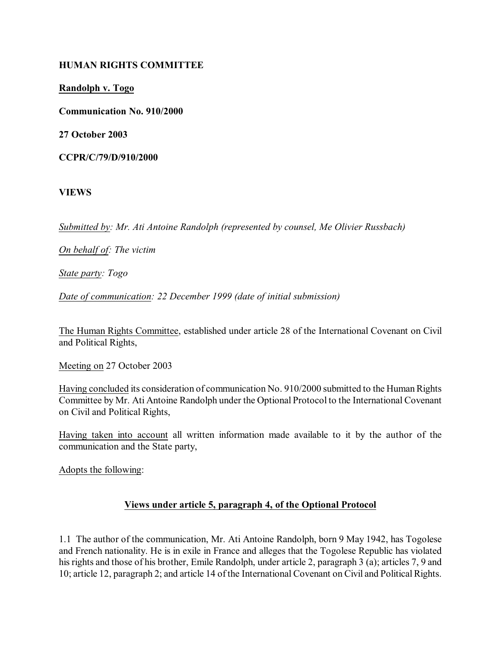### **HUMAN RIGHTS COMMITTEE**

**Randolph v. Togo**

**Communication No. 910/2000**

**27 October 2003**

**CCPR/C/79/D/910/2000**

**VIEWS**

*Submitted by: Mr. Ati Antoine Randolph (represented by counsel, Me Olivier Russbach)*

*On behalf of: The victim*

*State party: Togo*

*Date of communication: 22 December 1999 (date of initial submission)*

The Human Rights Committee, established under article 28 of the International Covenant on Civil and Political Rights,

Meeting on 27 October 2003

Having concluded its consideration of communication No. 910/2000 submitted to the Human Rights Committee by Mr. Ati Antoine Randolph under the Optional Protocol to the International Covenant on Civil and Political Rights,

Having taken into account all written information made available to it by the author of the communication and the State party,

Adopts the following:

## **Views under article 5, paragraph 4, of the Optional Protocol**

1.1 The author of the communication, Mr. Ati Antoine Randolph, born 9 May 1942, has Togolese and French nationality. He is in exile in France and alleges that the Togolese Republic has violated his rights and those of his brother, Emile Randolph, under article 2, paragraph 3 (a); articles 7, 9 and 10; article 12, paragraph 2; and article 14 of the International Covenant on Civil and Political Rights.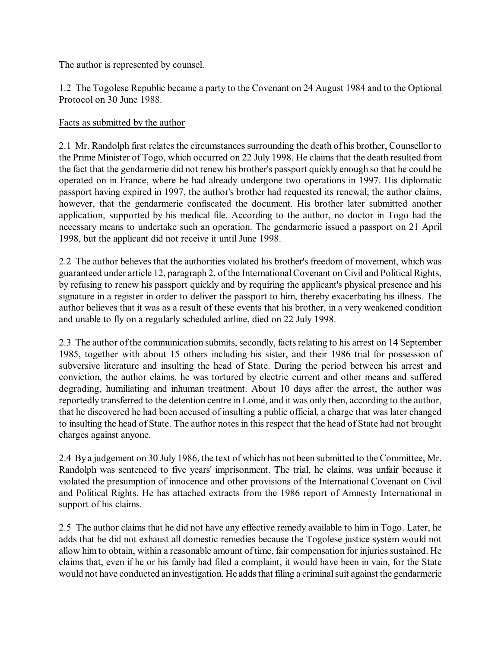The author is represented by counsel.

1.2 The Togolese Republic became a party to the Covenant on 24 August 1984 and to the Optional Protocol on 30 June 1988.

### Facts as submitted by the author

2.1 Mr. Randolph first relates the circumstances surrounding the death of his brother, Counsellor to the Prime Minister of Togo, which occurred on 22 July 1998. He claims that the death resulted from the fact that the gendarmerie did not renew his brother's passport quickly enough so that he could be operated on in France, where he had already undergone two operations in 1997. His diplomatic passport having expired in 1997, the author's brother had requested its renewal; the author claims, however, that the gendarmerie confiscated the document. His brother later submitted another application, supported by his medical file. According to the author, no doctor in Togo had the necessary means to undertake such an operation. The gendarmerie issued a passport on 21 April 1998, but the applicant did not receive it until June 1998.

2.2 The author believes that the authorities violated his brother's freedom of movement, which was guaranteed under article 12, paragraph 2, of the International Covenant on Civil and Political Rights, by refusing to renew his passport quickly and by requiring the applicant's physical presence and his signature in a register in order to deliver the passport to him, thereby exacerbating his illness. The author believes that it was as a result of these events that his brother, in a very weakened condition and unable to fly on a regularly scheduled airline, died on 22 July 1998.

2.3 The author of the communication submits, secondly, facts relating to his arrest on 14 September 1985, together with about 15 others including his sister, and their 1986 trial for possession of subversive literature and insulting the head of State. During the period between his arrest and conviction, the author claims, he was tortured by electric current and other means and suffered degrading, humiliating and inhuman treatment. About 10 days after the arrest, the author was reportedly transferred to the detention centre in Lomé, and it was only then, according to the author, that he discovered he had been accused of insulting a public official, a charge that was later changed to insulting the head of State. The author notesin this respect that the head of State had not brought charges against anyone.

2.4 By a judgement on 30 July 1986, the text of which has not been submitted to the Committee, Mr. Randolph was sentenced to five years' imprisonment. The trial, he claims, was unfair because it violated the presumption of innocence and other provisions of the International Covenant on Civil and Political Rights. He has attached extracts from the 1986 report of Amnesty International in support of his claims.

2.5 The author claims that he did not have any effective remedy available to him in Togo. Later, he adds that he did not exhaust all domestic remedies because the Togolese justice system would not allow him to obtain, within a reasonable amount of time, fair compensation for injuries sustained. He claims that, even if he or his family had filed a complaint, it would have been in vain, for the State would not have conducted an investigation. He adds that filing a criminal suit against the gendarmerie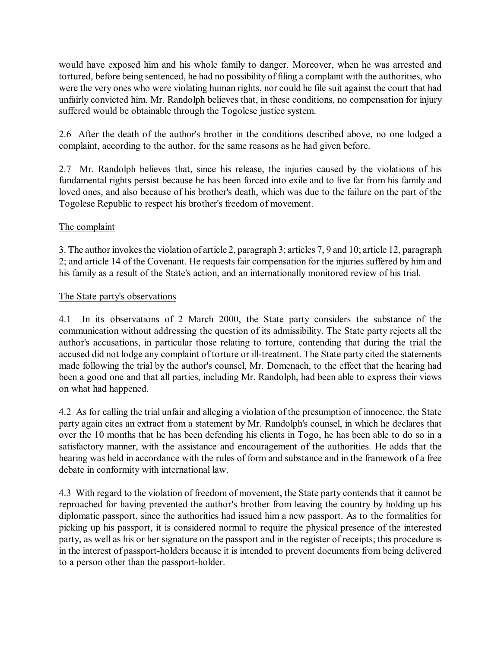would have exposed him and his whole family to danger. Moreover, when he was arrested and tortured, before being sentenced, he had no possibility of filing a complaint with the authorities, who were the very ones who were violating human rights, nor could he file suit against the court that had unfairly convicted him. Mr. Randolph believes that, in these conditions, no compensation for injury suffered would be obtainable through the Togolese justice system.

2.6 After the death of the author's brother in the conditions described above, no one lodged a complaint, according to the author, for the same reasons as he had given before.

2.7 Mr. Randolph believes that, since his release, the injuries caused by the violations of his fundamental rights persist because he has been forced into exile and to live far from his family and loved ones, and also because of his brother's death, which was due to the failure on the part of the Togolese Republic to respect his brother's freedom of movement.

# The complaint

3. The author invokes the violation of article 2, paragraph 3; articles 7, 9 and 10; article 12, paragraph 2; and article 14 of the Covenant. He requests fair compensation for the injuries suffered by him and his family as a result of the State's action, and an internationally monitored review of his trial.

## The State party's observations

4.1 In its observations of 2 March 2000, the State party considers the substance of the communication without addressing the question of its admissibility. The State party rejects all the author's accusations, in particular those relating to torture, contending that during the trial the accused did not lodge any complaint of torture or ill-treatment. The State party cited the statements made following the trial by the author's counsel, Mr. Domenach, to the effect that the hearing had been a good one and that all parties, including Mr. Randolph, had been able to express their views on what had happened.

4.2 As for calling the trial unfair and alleging a violation of the presumption of innocence, the State party again cites an extract from a statement by Mr. Randolph's counsel, in which he declares that over the 10 months that he has been defending his clients in Togo, he has been able to do so in a satisfactory manner, with the assistance and encouragement of the authorities. He adds that the hearing was held in accordance with the rules of form and substance and in the framework of a free debate in conformity with international law.

4.3 With regard to the violation of freedom of movement, the State party contends that it cannot be reproached for having prevented the author's brother from leaving the country by holding up his diplomatic passport, since the authorities had issued him a new passport. As to the formalities for picking up his passport, it is considered normal to require the physical presence of the interested party, as well as his or her signature on the passport and in the register of receipts; this procedure is in the interest of passport-holders because it is intended to prevent documents from being delivered to a person other than the passport-holder.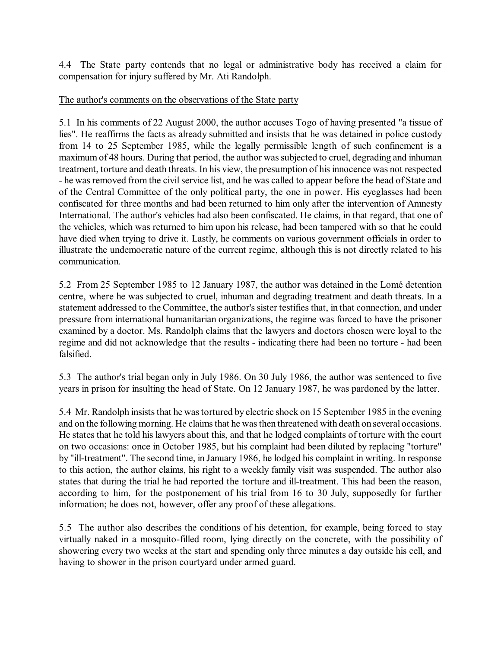4.4 The State party contends that no legal or administrative body has received a claim for compensation for injury suffered by Mr. Ati Randolph.

### The author's comments on the observations of the State party

5.1 In his comments of 22 August 2000, the author accuses Togo of having presented "a tissue of lies". He reaffirms the facts as already submitted and insists that he was detained in police custody from 14 to 25 September 1985, while the legally permissible length of such confinement is a maximum of 48 hours. During that period, the author was subjected to cruel, degrading and inhuman treatment, torture and death threats. In his view, the presumption of his innocence was not respected - he was removed from the civil service list, and he was called to appear before the head of State and of the Central Committee of the only political party, the one in power. His eyeglasses had been confiscated for three months and had been returned to him only after the intervention of Amnesty International. The author's vehicles had also been confiscated. He claims, in that regard, that one of the vehicles, which was returned to him upon his release, had been tampered with so that he could have died when trying to drive it. Lastly, he comments on various government officials in order to illustrate the undemocratic nature of the current regime, although this is not directly related to his communication.

5.2 From 25 September 1985 to 12 January 1987, the author was detained in the Lomé detention centre, where he was subjected to cruel, inhuman and degrading treatment and death threats. In a statement addressed to the Committee, the author's sister testifies that, in that connection, and under pressure from international humanitarian organizations, the regime was forced to have the prisoner examined by a doctor. Ms. Randolph claims that the lawyers and doctors chosen were loyal to the regime and did not acknowledge that the results - indicating there had been no torture - had been falsified.

5.3 The author's trial began only in July 1986. On 30 July 1986, the author was sentenced to five years in prison for insulting the head of State. On 12 January 1987, he was pardoned by the latter.

5.4 Mr. Randolph insists that he wastortured by electric shock on 15 September 1985 in the evening and on the following morning. He claims that he was then threatened with death on several occasions. He states that he told his lawyers about this, and that he lodged complaints of torture with the court on two occasions: once in October 1985, but his complaint had been diluted by replacing "torture" by "ill-treatment". The second time, in January 1986, he lodged his complaint in writing. In response to this action, the author claims, his right to a weekly family visit was suspended. The author also states that during the trial he had reported the torture and ill-treatment. This had been the reason, according to him, for the postponement of his trial from 16 to 30 July, supposedly for further information; he does not, however, offer any proof of these allegations.

5.5 The author also describes the conditions of his detention, for example, being forced to stay virtually naked in a mosquito-filled room, lying directly on the concrete, with the possibility of showering every two weeks at the start and spending only three minutes a day outside his cell, and having to shower in the prison courtyard under armed guard.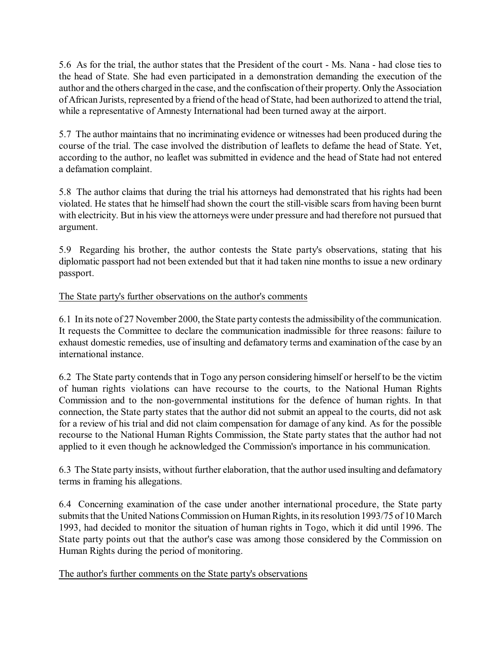5.6 As for the trial, the author states that the President of the court - Ms. Nana - had close ties to the head of State. She had even participated in a demonstration demanding the execution of the author and the others charged in the case, and the confiscation oftheir property. Only the Association of African Jurists, represented by a friend of the head of State, had been authorized to attend the trial, while a representative of Amnesty International had been turned away at the airport.

5.7 The author maintains that no incriminating evidence or witnesses had been produced during the course of the trial. The case involved the distribution of leaflets to defame the head of State. Yet, according to the author, no leaflet was submitted in evidence and the head of State had not entered a defamation complaint.

5.8 The author claims that during the trial his attorneys had demonstrated that his rights had been violated. He states that he himself had shown the court the still-visible scars from having been burnt with electricity. But in his view the attorneys were under pressure and had therefore not pursued that argument.

5.9 Regarding his brother, the author contests the State party's observations, stating that his diplomatic passport had not been extended but that it had taken nine months to issue a new ordinary passport.

## The State party's further observations on the author's comments

6.1 In its note of 27 November 2000, the State party contests the admissibility of the communication. It requests the Committee to declare the communication inadmissible for three reasons: failure to exhaust domestic remedies, use of insulting and defamatory terms and examination of the case by an international instance.

6.2 The State party contends that in Togo any person considering himself or herself to be the victim of human rights violations can have recourse to the courts, to the National Human Rights Commission and to the non-governmental institutions for the defence of human rights. In that connection, the State party states that the author did not submit an appeal to the courts, did not ask for a review of his trial and did not claim compensation for damage of any kind. As for the possible recourse to the National Human Rights Commission, the State party states that the author had not applied to it even though he acknowledged the Commission's importance in his communication.

6.3 The State party insists, without further elaboration, that the author used insulting and defamatory terms in framing his allegations.

6.4 Concerning examination of the case under another international procedure, the State party submits that the United Nations Commission on Human Rights, in itsresolution 1993/75 of 10 March 1993, had decided to monitor the situation of human rights in Togo, which it did until 1996. The State party points out that the author's case was among those considered by the Commission on Human Rights during the period of monitoring.

## The author's further comments on the State party's observations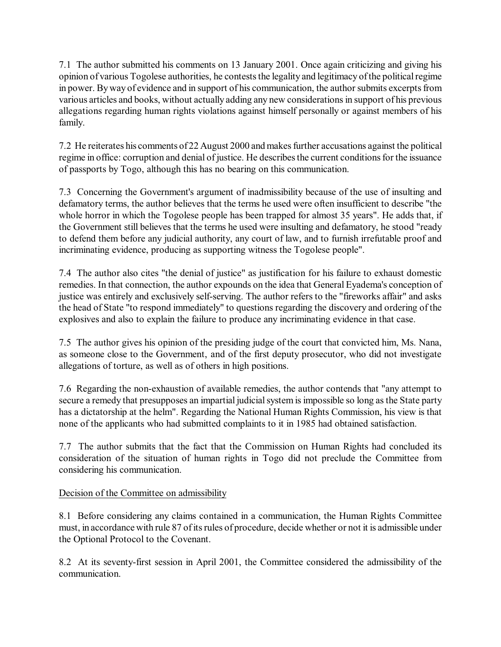7.1 The author submitted his comments on 13 January 2001. Once again criticizing and giving his opinion of various Togolese authorities, he contests the legality and legitimacy of the political regime in power. By way of evidence and in support of his communication, the author submits excerpts from various articles and books, without actually adding any new considerationsin support of his previous allegations regarding human rights violations against himself personally or against members of his family.

7.2 He reiterates his comments of 22 August 2000 and makes further accusations against the political regime in office: corruption and denial of justice. He describes the current conditions for the issuance of passports by Togo, although this has no bearing on this communication.

7.3 Concerning the Government's argument of inadmissibility because of the use of insulting and defamatory terms, the author believes that the terms he used were often insufficient to describe "the whole horror in which the Togolese people has been trapped for almost 35 years". He adds that, if the Government still believes that the terms he used were insulting and defamatory, he stood "ready to defend them before any judicial authority, any court of law, and to furnish irrefutable proof and incriminating evidence, producing as supporting witness the Togolese people".

7.4 The author also cites "the denial of justice" as justification for his failure to exhaust domestic remedies. In that connection, the author expounds on the idea that General Eyadema's conception of justice was entirely and exclusively self-serving. The author refers to the "fireworks affair" and asks the head of State "to respond immediately" to questions regarding the discovery and ordering of the explosives and also to explain the failure to produce any incriminating evidence in that case.

7.5 The author gives his opinion of the presiding judge of the court that convicted him, Ms. Nana, as someone close to the Government, and of the first deputy prosecutor, who did not investigate allegations of torture, as well as of others in high positions.

7.6 Regarding the non-exhaustion of available remedies, the author contends that "any attempt to secure a remedy that presupposes an impartial judicial system is impossible so long as the State party has a dictatorship at the helm". Regarding the National Human Rights Commission, his view is that none of the applicants who had submitted complaints to it in 1985 had obtained satisfaction.

7.7 The author submits that the fact that the Commission on Human Rights had concluded its consideration of the situation of human rights in Togo did not preclude the Committee from considering his communication.

# Decision of the Committee on admissibility

8.1 Before considering any claims contained in a communication, the Human Rights Committee must, in accordance with rule 87 of its rules of procedure, decide whether or not it is admissible under the Optional Protocol to the Covenant.

8.2 At its seventy-first session in April 2001, the Committee considered the admissibility of the communication.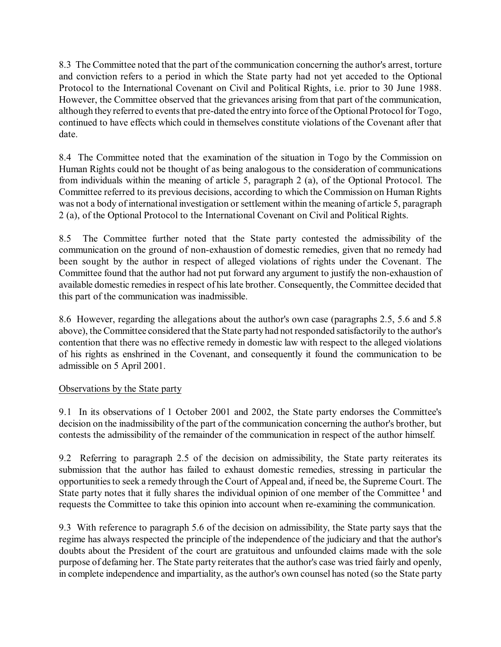8.3 The Committee noted that the part of the communication concerning the author's arrest, torture and conviction refers to a period in which the State party had not yet acceded to the Optional Protocol to the International Covenant on Civil and Political Rights, i.e. prior to 30 June 1988. However, the Committee observed that the grievances arising from that part of the communication, although they referred to events that pre-dated the entry into force of the Optional Protocol for Togo, continued to have effects which could in themselves constitute violations of the Covenant after that date.

8.4 The Committee noted that the examination of the situation in Togo by the Commission on Human Rights could not be thought of as being analogous to the consideration of communications from individuals within the meaning of article 5, paragraph 2 (a), of the Optional Protocol. The Committee referred to its previous decisions, according to which the Commission on Human Rights was not a body of international investigation or settlement within the meaning of article 5, paragraph 2 (a), of the Optional Protocol to the International Covenant on Civil and Political Rights.

8.5 The Committee further noted that the State party contested the admissibility of the communication on the ground of non-exhaustion of domestic remedies, given that no remedy had been sought by the author in respect of alleged violations of rights under the Covenant. The Committee found that the author had not put forward any argument to justify the non-exhaustion of available domestic remedies in respect of his late brother. Consequently, the Committee decided that this part of the communication was inadmissible.

8.6 However, regarding the allegations about the author's own case (paragraphs 2.5, 5.6 and 5.8 above), the Committee considered that the State partyhad not responded satisfactorily to the author's contention that there was no effective remedy in domestic law with respect to the alleged violations of his rights as enshrined in the Covenant, and consequently it found the communication to be admissible on 5 April 2001.

## Observations by the State party

9.1 In its observations of 1 October 2001 and 2002, the State party endorses the Committee's decision on the inadmissibility of the part of the communication concerning the author's brother, but contests the admissibility of the remainder of the communication in respect of the author himself.

9.2 Referring to paragraph 2.5 of the decision on admissibility, the State party reiterates its submission that the author has failed to exhaust domestic remedies, stressing in particular the opportunitiesto seek a remedy through the Court of Appeal and, if need be, the Supreme Court. The State party notes that it fully shares the individual opinion of one member of the Committee<sup>1</sup> and requests the Committee to take this opinion into account when re-examining the communication.

9.3 With reference to paragraph 5.6 of the decision on admissibility, the State party says that the regime has always respected the principle of the independence of the judiciary and that the author's doubts about the President of the court are gratuitous and unfounded claims made with the sole purpose of defaming her. The State party reiterates that the author's case was tried fairly and openly, in complete independence and impartiality, asthe author's own counsel has noted (so the State party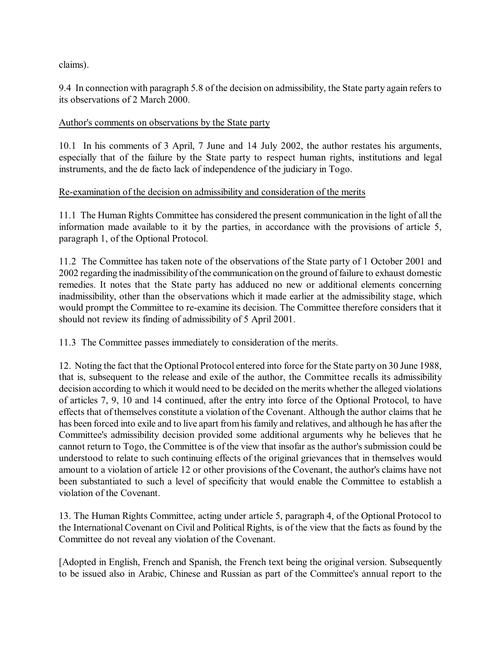claims).

9.4 In connection with paragraph 5.8 of the decision on admissibility, the State party again refers to its observations of 2 March 2000.

#### Author's comments on observations by the State party

10.1 In his comments of 3 April, 7 June and 14 July 2002, the author restates his arguments, especially that of the failure by the State party to respect human rights, institutions and legal instruments, and the de facto lack of independence of the judiciary in Togo.

### Re-examination of the decision on admissibility and consideration of the merits

11.1 The Human Rights Committee has considered the present communication in the light of all the information made available to it by the parties, in accordance with the provisions of article 5, paragraph 1, of the Optional Protocol.

11.2 The Committee has taken note of the observations of the State party of 1 October 2001 and 2002 regarding the inadmissibility of the communication on the ground of failure to exhaust domestic remedies. It notes that the State party has adduced no new or additional elements concerning inadmissibility, other than the observations which it made earlier at the admissibility stage, which would prompt the Committee to re-examine its decision. The Committee therefore considers that it should not review its finding of admissibility of 5 April 2001.

11.3 The Committee passes immediately to consideration of the merits.

12. Noting the fact that the Optional Protocol entered into force for the State party on 30 June 1988, that is, subsequent to the release and exile of the author, the Committee recalls its admissibility decision according to which it would need to be decided on the merits whether the alleged violations of articles 7, 9, 10 and 14 continued, after the entry into force of the Optional Protocol, to have effects that of themselves constitute a violation of the Covenant. Although the author claims that he has been forced into exile and to live apart from his family and relatives, and although he has after the Committee's admissibility decision provided some additional arguments why he believes that he cannot return to Togo, the Committee is of the view that insofar as the author's submission could be understood to relate to such continuing effects of the original grievances that in themselves would amount to a violation of article 12 or other provisions of the Covenant, the author's claims have not been substantiated to such a level of specificity that would enable the Committee to establish a violation of the Covenant.

13. The Human Rights Committee, acting under article 5, paragraph 4, of the Optional Protocol to the International Covenant on Civil and Political Rights, is of the view that the facts as found by the Committee do not reveal any violation of the Covenant.

[Adopted in English, French and Spanish, the French text being the original version. Subsequently to be issued also in Arabic, Chinese and Russian as part of the Committee's annual report to the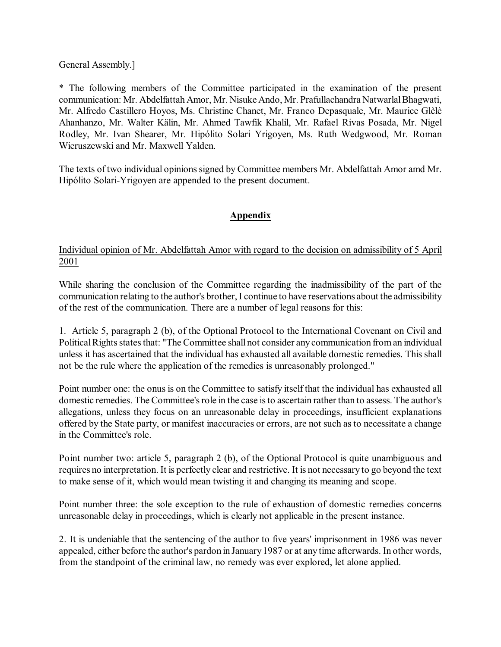General Assembly.]

\* The following members of the Committee participated in the examination of the present communication: Mr. Abdelfattah Amor, Mr. Nisuke Ando, Mr. Prafullachandra Natwarlal Bhagwati, Mr. Alfredo Castillero Hoyos, Ms. Christine Chanet, Mr. Franco Depasquale, Mr. Maurice Glèlè Ahanhanzo, Mr. Walter Kälin, Mr. Ahmed Tawfik Khalil, Mr. Rafael Rivas Posada, Mr. Nigel Rodley, Mr. Ivan Shearer, Mr. Hipólito Solari Yrigoyen, Ms. Ruth Wedgwood, Mr. Roman Wieruszewski and Mr. Maxwell Yalden.

The texts of two individual opinions signed by Committee members Mr. Abdelfattah Amor amd Mr. Hipólito Solari-Yrigoyen are appended to the present document.

# **Appendix**

## Individual opinion of Mr. Abdelfattah Amor with regard to the decision on admissibility of 5 April 2001

While sharing the conclusion of the Committee regarding the inadmissibility of the part of the communication relating to the author's brother, I continue to have reservations about the admissibility of the rest of the communication. There are a number of legal reasons for this:

1. Article 5, paragraph 2 (b), of the Optional Protocol to the International Covenant on Civil and Political Rights states that: "The Committee shall not consider anycommunication from an individual unless it has ascertained that the individual has exhausted all available domestic remedies. This shall not be the rule where the application of the remedies is unreasonably prolonged."

Point number one: the onus is on the Committee to satisfy itself that the individual has exhausted all domestic remedies. The Committee's role in the case is to ascertain rather than to assess. The author's allegations, unless they focus on an unreasonable delay in proceedings, insufficient explanations offered by the State party, or manifest inaccuracies or errors, are not such as to necessitate a change in the Committee's role.

Point number two: article 5, paragraph 2 (b), of the Optional Protocol is quite unambiguous and requires no interpretation. It is perfectly clear and restrictive. It is not necessary to go beyond the text to make sense of it, which would mean twisting it and changing its meaning and scope.

Point number three: the sole exception to the rule of exhaustion of domestic remedies concerns unreasonable delay in proceedings, which is clearly not applicable in the present instance.

2. It is undeniable that the sentencing of the author to five years' imprisonment in 1986 was never appealed, either before the author's pardon in January1987 or at any time afterwards. In other words, from the standpoint of the criminal law, no remedy was ever explored, let alone applied.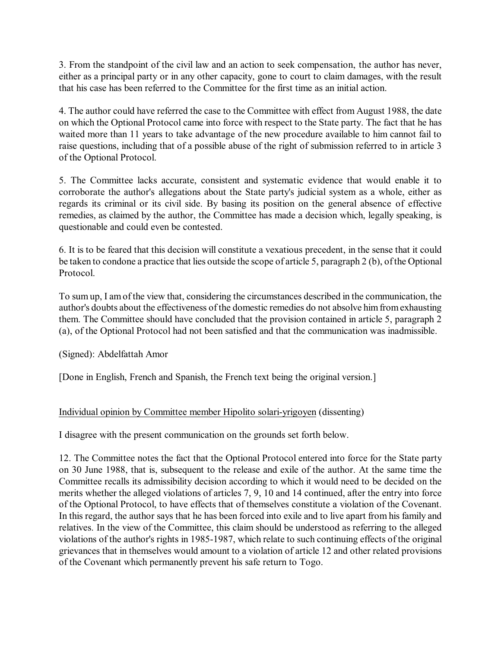3. From the standpoint of the civil law and an action to seek compensation, the author has never, either as a principal party or in any other capacity, gone to court to claim damages, with the result that his case has been referred to the Committee for the first time as an initial action.

4. The author could have referred the case to the Committee with effect from August 1988, the date on which the Optional Protocol came into force with respect to the State party. The fact that he has waited more than 11 years to take advantage of the new procedure available to him cannot fail to raise questions, including that of a possible abuse of the right of submission referred to in article 3 of the Optional Protocol.

5. The Committee lacks accurate, consistent and systematic evidence that would enable it to corroborate the author's allegations about the State party's judicial system as a whole, either as regards its criminal or its civil side. By basing its position on the general absence of effective remedies, as claimed by the author, the Committee has made a decision which, legally speaking, is questionable and could even be contested.

6. It is to be feared that this decision will constitute a vexatious precedent, in the sense that it could be taken to condone a practice that lies outside the scope of article 5, paragraph 2 (b), of the Optional Protocol.

To sum up, I amof the view that, considering the circumstances described in the communication, the author's doubts about the effectiveness of the domestic remedies do not absolve him from exhausting them. The Committee should have concluded that the provision contained in article 5, paragraph 2 (a), of the Optional Protocol had not been satisfied and that the communication was inadmissible.

(Signed): Abdelfattah Amor

[Done in English, French and Spanish, the French text being the original version.]

## Individual opinion by Committee member Hipolito solari-yrigoyen (dissenting)

I disagree with the present communication on the grounds set forth below.

12. The Committee notes the fact that the Optional Protocol entered into force for the State party on 30 June 1988, that is, subsequent to the release and exile of the author. At the same time the Committee recalls its admissibility decision according to which it would need to be decided on the merits whether the alleged violations of articles 7, 9, 10 and 14 continued, after the entry into force of the Optional Protocol, to have effects that of themselves constitute a violation of the Covenant. In this regard, the author says that he has been forced into exile and to live apart from his family and relatives. In the view of the Committee, this claim should be understood as referring to the alleged violations of the author's rights in 1985-1987, which relate to such continuing effects of the original grievances that in themselves would amount to a violation of article 12 and other related provisions of the Covenant which permanently prevent his safe return to Togo.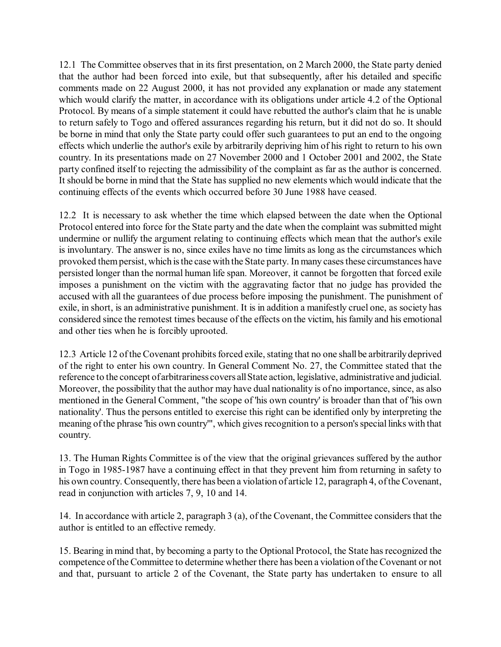12.1 The Committee observes that in its first presentation, on 2 March 2000, the State party denied that the author had been forced into exile, but that subsequently, after his detailed and specific comments made on 22 August 2000, it has not provided any explanation or made any statement which would clarify the matter, in accordance with its obligations under article 4.2 of the Optional Protocol. By means of a simple statement it could have rebutted the author's claim that he is unable to return safely to Togo and offered assurances regarding his return, but it did not do so. It should be borne in mind that only the State party could offer such guarantees to put an end to the ongoing effects which underlie the author's exile by arbitrarily depriving him of his right to return to his own country. In its presentations made on 27 November 2000 and 1 October 2001 and 2002, the State party confined itself to rejecting the admissibility of the complaint as far as the author is concerned. It should be borne in mind that the State has supplied no new elements which would indicate that the continuing effects of the events which occurred before 30 June 1988 have ceased.

12.2 It is necessary to ask whether the time which elapsed between the date when the Optional Protocol entered into force for the State party and the date when the complaint was submitted might undermine or nullify the argument relating to continuing effects which mean that the author's exile is involuntary. The answer is no, since exiles have no time limits as long as the circumstances which provoked them persist, which isthe case with the State party. In many cases these circumstances have persisted longer than the normal human life span. Moreover, it cannot be forgotten that forced exile imposes a punishment on the victim with the aggravating factor that no judge has provided the accused with all the guarantees of due process before imposing the punishment. The punishment of exile, in short, is an administrative punishment. It is in addition a manifestly cruel one, as society has considered since the remotest times because of the effects on the victim, his family and his emotional and other ties when he is forcibly uprooted.

12.3 Article 12 of the Covenant prohibits forced exile, stating that no one shall be arbitrarily deprived of the right to enter his own country. In General Comment No. 27, the Committee stated that the reference to the concept of arbitrariness covers all State action, legislative, administrative and judicial. Moreover, the possibility that the author may have dual nationality is of no importance, since, as also mentioned in the General Comment, "the scope of 'his own country' is broader than that of 'his own nationality'. Thus the persons entitled to exercise this right can be identified only by interpreting the meaning of the phrase 'his own country'", which gives recognition to a person's special links with that country.

13. The Human Rights Committee is of the view that the original grievances suffered by the author in Togo in 1985-1987 have a continuing effect in that they prevent him from returning in safety to his own country. Consequently, there has been a violation of article 12, paragraph 4, of the Covenant, read in conjunction with articles 7, 9, 10 and 14.

14. In accordance with article 2, paragraph 3 (a), of the Covenant, the Committee considers that the author is entitled to an effective remedy.

15. Bearing in mind that, by becoming a party to the Optional Protocol, the State has recognized the competence of the Committee to determine whether there has been a violation of the Covenant or not and that, pursuant to article 2 of the Covenant, the State party has undertaken to ensure to all